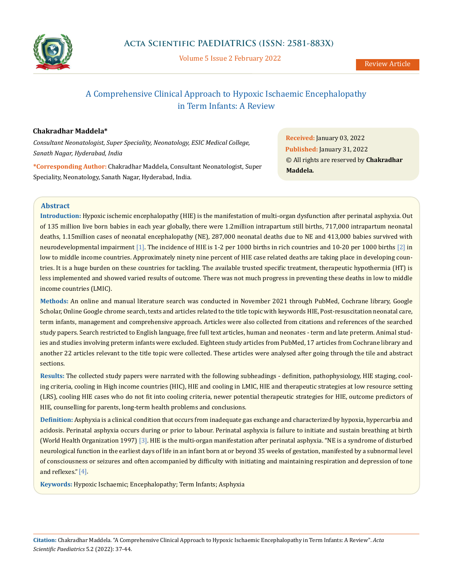

Volume 5 Issue 2 February 2022

# A Comprehensive Clinical Approach to Hypoxic Ischaemic Encephalopathy in Term Infants: A Review

## **Chakradhar Maddela\***

*Consultant Neonatologist, Super Speciality, Neonatology, ESIC Medical College, Sanath Nagar, Hyderabad, India*

**\*Corresponding Author:** Chakradhar Maddela, Consultant Neonatologist, Super Speciality, Neonatology, Sanath Nagar, Hyderabad, India.

**Received:** January 03, 2022 **Published:** January 31, 2022 © All rights are reserved by **Chakradhar Maddela***.*

## **Abstract**

**Introduction:** Hypoxic ischemic encephalopathy (HIE) is the manifestation of multi-organ dysfunction after perinatal asphyxia. Out of 135 million live born babies in each year globally, there were 1.2million intrapartum still births, 717,000 intrapartum neonatal deaths, 1.15million cases of neonatal encephalopathy (NE)*,* 287,000 neonatal deaths due to NE and 413,000 babies survived with neurodevelopmental impairment [1]. The incidence of HIE is 1-2 per 1000 births in rich countries and 10-20 per 1000 births [2] in low to middle income countries. Approximately ninety nine percent of HIE case related deaths are taking place in developing countries. It is a huge burden on these countries for tackling. The available trusted specific treatment, therapeutic hypothermia (HT) is less implemented and showed varied results of outcome. There was not much progress in preventing these deaths in low to middle income countries (LMIC).

**Methods:** An online and manual literature search was conducted in November 2021 through PubMed, Cochrane library, Google Scholar, Online Google chrome search, texts and articles related to the title topic with keywords HIE, Post-resuscitation neonatal care, term infants, management and comprehensive approach. Articles were also collected from citations and references of the searched study papers. Search restricted to English language, free full text articles, human and neonates - term and late preterm. Animal studies and studies involving preterm infants were excluded. Eighteen study articles from PubMed, 17 articles from Cochrane library and another 22 articles relevant to the title topic were collected. These articles were analysed after going through the tile and abstract sections.

**Results:** The collected study papers were narrated with the following subheadings - definition, pathophysiology, HIE staging, cooling criteria, cooling in High income countries (HIC), HIE and cooling in LMIC, HIE and therapeutic strategies at low resource setting (LRS), cooling HIE cases who do not fit into cooling criteria, newer potential therapeutic strategies for HIE, outcome predictors of HIE, counselling for parents, long-term health problems and conclusions.

**Definition:** Asphyxia is a clinical condition that occurs from inadequate gas exchange and characterized by hypoxia, hypercarbia and acidosis. Perinatal asphyxia occurs during or prior to labour. Perinatal asphyxia is failure to initiate and sustain breathing at birth (World Health Organization 1997) [3]. HIE is the multi-organ manifestation after perinatal asphyxia. "NE is a syndrome of disturbed neurological function in the earliest days of life in an infant born at or beyond 35 weeks of gestation, manifested by a subnormal level of consciousness or seizures and often accompanied by difficulty with initiating and maintaining respiration and depression of tone and reflexes."[4].

**Keywords:** Hypoxic Ischaemic; Encephalopathy; Term Infants; Asphyxia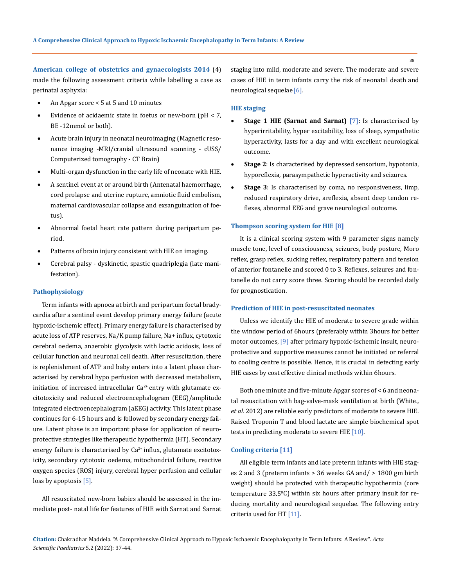**American college of obstetrics and gynaecologists 2014** (4) made the following assessment criteria while labelling a case as perinatal asphyxia:

- An Apgar score  $< 5$  at 5 and 10 minutes
- Evidence of acidaemic state in foetus or new-born (pH  $<$  7, BE -12mmol or both).
- Acute brain injury in neonatal neuroimaging (Magnetic resonance imaging -MRI/cranial ultrasound scanning - cUSS/ Computerized tomography - CT Brain)
- Multi-organ dysfunction in the early life of neonate with HIE.
- A sentinel event at or around birth (Antenatal haemorrhage, cord prolapse and uterine rupture, amniotic fluid embolism, maternal cardiovascular collapse and exsanguination of foetus).
- Abnormal foetal heart rate pattern during peripartum period.
- Patterns of brain injury consistent with HIE on imaging.
- Cerebral palsy dyskinetic, spastic quadriplegia (late manifestation).

#### **Pathophysiology**

Term infants with apnoea at birth and peripartum foetal bradycardia after a sentinel event develop primary energy failure (acute hypoxic-ischemic effect). Primary energy failure is characterised by acute loss of ATP reserves, Na/K pump failure, Na+ influx, cytotoxic cerebral oedema, anaerobic glycolysis with lactic acidosis, loss of cellular function and neuronal cell death. After resuscitation, there is replenishment of ATP and baby enters into a latent phase characterised by cerebral hypo perfusion with decreased metabolism, initiation of increased intracellular  $Ca^{2+}$  entry with glutamate excitotoxicity and reduced electroencephalogram (EEG)/amplitude integrated electroencephalogram (aEEG) activity. This latent phase continues for 6-15 hours and is followed by secondary energy failure. Latent phase is an important phase for application of neuroprotective strategies like therapeutic hypothermia (HT). Secondary energy failure is characterised by  $Ca^{2+}$  influx, glutamate excitotoxicity, secondary cytotoxic oedema, mitochondrial failure, reactive oxygen species (ROS) injury, cerebral hyper perfusion and cellular loss by apoptosis [5].

All resuscitated new-born babies should be assessed in the immediate post- natal life for features of HIE with Sarnat and Sarnat staging into mild, moderate and severe. The moderate and severe cases of HIE in term infants carry the risk of neonatal death and neurological sequelae [6].

#### **HIE staging**

- **Stage 1 HIE (Sarnat and Sarnat) [7]:** Is characterised by hyperirritability, hyper excitability, loss of sleep, sympathetic hyperactivity, lasts for a day and with excellent neurological outcome.
- **Stage 2**: Is characterised by depressed sensorium, hypotonia, hyporeflexia, parasympathetic hyperactivity and seizures.
- Stage 3: Is characterised by coma, no responsiveness, limp, reduced respiratory drive, areflexia, absent deep tendon reflexes, abnormal EEG and grave neurological outcome.

#### **Thompson scoring system for HIE [8]**

It is a clinical scoring system with 9 parameter signs namely muscle tone, level of consciousness, seizures, body posture, Moro reflex, grasp reflex, sucking reflex, respiratory pattern and tension of anterior fontanelle and scored 0 to 3. Reflexes, seizures and fontanelle do not carry score three. Scoring should be recorded daily for prognostication.

#### **Prediction of HIE in post-resuscitated neonates**

Unless we identify the HIE of moderate to severe grade within the window period of 6hours (preferably within 3hours for better motor outcomes, [9] after primary hypoxic-ischemic insult, neuroprotective and supportive measures cannot be initiated or referral to cooling centre is possible. Hence, it is crucial in detecting early HIE cases by cost effective clinical methods within 6hours.

Both one minute and five-minute Apgar scores of < 6 and neonatal resuscitation with bag-valve-mask ventilation at birth (White., *et al.* 2012) are reliable early predictors of moderate to severe HIE. Raised Troponin T and blood lactate are simple biochemical spot tests in predicting moderate to severe HIE [10].

#### **Cooling criteria [11]**

All eligible term infants and late preterm infants with HIE stages 2 and 3 (preterm infants > 36 weeks GA and/ > 1800 gm birth weight) should be protected with therapeutic hypothermia (core temperature 33.5°C) within six hours after primary insult for reducing mortality and neurological sequelae. The following entry criteria used for HT [11].

**Citation:** Chakradhar Maddela*.* "A Comprehensive Clinical Approach to Hypoxic Ischaemic Encephalopathy in Term Infants: A Review". *Acta Scientific Paediatrics* 5.2 (2022): 37-44.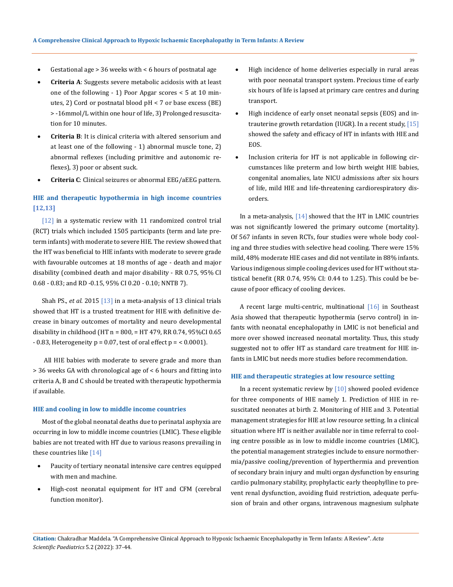- Gestational age  $> 36$  weeks with  $< 6$  hours of postnatal age
- **Criteria A**: Suggests severe metabolic acidosis with at least one of the following - 1) Poor Apgar scores < 5 at 10 minutes, 2) Cord or postnatal blood pH < 7 or base excess (BE) > -16mmol/L within one hour of life, 3) Prolonged resuscitation for 10 minutes.
- **Criteria B**: It is clinical criteria with altered sensorium and at least one of the following - 1) abnormal muscle tone, 2) abnormal reflexes (including primitive and autonomic reflexes), 3) poor or absent suck.
- **Criteria C**: Clinical seizures or abnormal EEG/aEEG pattern.

# **HIE and therapeutic hypothermia in high income countries [12,13]**

[12] in a systematic review with 11 randomized control trial (RCT) trials which included 1505 participants (term and late preterm infants) with moderate to severe HIE. The review showed that the HT was beneficial to HIE infants with moderate to severe grade with favourable outcomes at 18 months of age - death and major disability (combined death and major disability - RR 0.75, 95% CI 0.68 - 0.83; and RD -0.15, 95% CI 0.20 - 0.10; NNTB 7).

Shah PS., *et al.* 2015 [13] in a meta-analysis of 13 clinical trials showed that HT is a trusted treatment for HIE with definitive decrease in binary outcomes of mortality and neuro developmental disability in childhood (HT  $n = 800$ ,  $=$  HT 479, RR 0.74, 95%CI 0.65  $-0.83$ , Heterogeneity  $p = 0.07$ , test of oral effect  $p = 0.0001$ .

 All HIE babies with moderate to severe grade and more than > 36 weeks GA with chronological age of < 6 hours and fitting into criteria A, B and C should be treated with therapeutic hypothermia if available.

#### **HIE and cooling in low to middle income countries**

Most of the global neonatal deaths due to perinatal asphyxia are occurring in low to middle income countries (LMIC). These eligible babies are not treated with HT due to various reasons prevailing in these countries like [14]

- Paucity of tertiary neonatal intensive care centres equipped with men and machine.
- High-cost neonatal equipment for HT and CFM (cerebral function monitor).
- High incidence of home deliveries especially in rural areas with poor neonatal transport system. Precious time of early six hours of life is lapsed at primary care centres and during transport.
- High incidence of early onset neonatal sepsis (EOS) and intrauterine growth retardation (IUGR). In a recent study, [15] showed the safety and efficacy of HT in infants with HIE and EOS.
- Inclusion criteria for HT is not applicable in following circumstances like preterm and low birth weight HIE babies, congenital anomalies, late NICU admissions after six hours of life, mild HIE and life-threatening cardiorespiratory disorders.

In a meta-analysis,  $[14]$  showed that the HT in LMIC countries was not significantly lowered the primary outcome (mortality). Of 567 infants in seven RCTs, four studies were whole body cooling and three studies with selective head cooling. There were 15% mild, 48% moderate HIE cases and did not ventilate in 88% infants. Various indigenous simple cooling devices used for HT without statistical benefit (RR 0.74, 95% CI: 0.44 to 1.25). This could be because of poor efficacy of cooling devices.

A recent large multi-centric, multinational [16] in Southeast Asia showed that therapeutic hypothermia (servo control) in infants with neonatal encephalopathy in LMIC is not beneficial and more over showed increased neonatal mortality. Thus, this study suggested not to offer HT as standard care treatment for HIE infants in LMIC but needs more studies before recommendation.

#### **HIE and therapeutic strategies at low resource setting**

In a recent systematic review by  $[10]$  showed pooled evidence for three components of HIE namely 1. Prediction of HIE in resuscitated neonates at birth 2. Monitoring of HIE and 3. Potential management strategies for HIE at low resource setting. In a clinical situation where HT is neither available nor in time referral to cooling centre possible as in low to middle income countries (LMIC), the potential management strategies include to ensure normothermia/passive cooling/prevention of hyperthermia and prevention of secondary brain injury and multi organ dysfunction by ensuring cardio pulmonary stability, prophylactic early theophylline to prevent renal dysfunction, avoiding fluid restriction, adequate perfusion of brain and other organs, intravenous magnesium sulphate

**Citation:** Chakradhar Maddela*.* "A Comprehensive Clinical Approach to Hypoxic Ischaemic Encephalopathy in Term Infants: A Review". *Acta Scientific Paediatrics* 5.2 (2022): 37-44.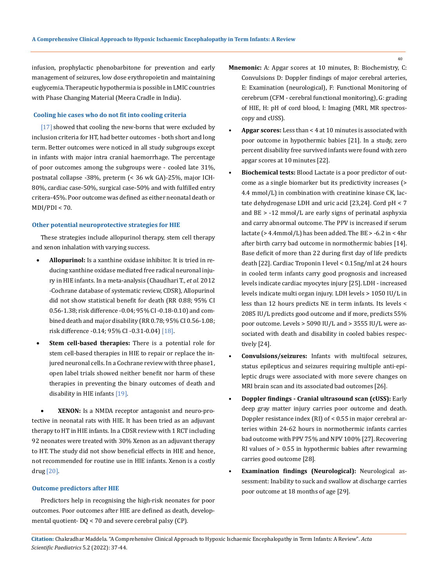infusion, prophylactic phenobarbitone for prevention and early management of seizures, low dose erythropoietin and maintaining euglycemia. Therapeutic hypothermia is possible in LMIC countries with Phase Changing Material (Meera Cradle in India).

#### **Cooling hie cases who do not fit into cooling criteria**

[17] showed that cooling the new-borns that were excluded by inclusion criteria for HT, had better outcomes - both short and long term. Better outcomes were noticed in all study subgroups except in infants with major intra cranial haemorrhage. The percentage of poor outcomes among the subgroups were - cooled late 31%, postnatal collapse -38%, preterm (< 36 wk GA)-25%, major ICH-80%, cardiac case-50%, surgical case-50% and with fulfilled entry critera-45%. Poor outcome was defined as either neonatal death or  $MDI/PDI < 70.$ 

#### **Other potential neuroprotective strategies for HIE**

These strategies include allopurinol therapy, stem cell therapy and xenon inhalation with varying success.

- Allopurinol: Is a xanthine oxidase inhibitor. It is tried in reducing xanthine oxidase mediated free radical neuronal injury in HIE infants. In a meta-analysis (Chaudhari T., *et al.* 2012 -Cochrane database of systematic review, CDSR), Allopurinol did not show statistical benefit for death (RR 0.88; 95% CI 0.56-1.38; risk difference -0.04; 95% CI -0.18-0.10) and combined death and major disability (RR 0.78; 95% CI 0.56-1.08; risk difference -0.14; 95% CI -0.31-0.04) [18].
- **Stem cell-based therapies:** There is a potential role for stem cell-based therapies in HIE to repair or replace the injured neuronal cells. In a Cochrane review with three phase1, open label trials showed neither benefit nor harm of these therapies in preventing the binary outcomes of death and disability in HIE infants [19].

XENON: Is a NMDA receptor antagonist and neuro-protective in neonatal rats with HIE. It has been tried as an adjuvant therapy to HT in HIE infants. In a CDSR review with 1 RCT including 92 neonates were treated with 30% Xenon as an adjuvant therapy to HT. The study did not show beneficial effects in HIE and hence, not recommended for routine use in HIE infants. Xenon is a costly drug [20].

#### **Outcome predictors after HIE**

Predictors help in recognising the high-risk neonates for poor outcomes. Poor outcomes after HIE are defined as death, developmental quotient- DQ < 70 and severe cerebral palsy (CP).

- **Mnemonic:** A: Apgar scores at 10 minutes, B: Biochemistry, C: Convulsions D: Doppler findings of major cerebral arteries, E: Examination (neurological), F: Functional Monitoring of cerebrum (CFM - cerebral functional monitoring), G: grading of HIE, H: pH of cord blood, I: Imaging (MRI, MR spectroscopy and cUSS).
- **• Apgar scores:** Less than < 4 at 10 minutes is associated with poor outcome in hypothermic babies [21]. In a study, zero percent disability free survived infants were found with zero apgar scores at 10 minutes [22].
- **Biochemical tests:** Blood Lactate is a poor predictor of outcome as a single biomarker but its predictivity increases (> 4.4 mmol/L) in combination with creatinine kinase CK, lactate dehydrogenase LDH and uric acid [23,24]. Cord pH < 7 and BE > -12 mmol/L are early signs of perinatal asphyxia and carry abnormal outcome. The PPV is increased if serum lactate (> 4.4mmol/L) has been added. The BE > -6.2 in < 4hr after birth carry bad outcome in normothermic babies [14]. Base deficit of more than 22 during first day of life predicts death [22]. Cardiac Troponin I level < 0.15ng/ml at 24 hours in cooled term infants carry good prognosis and increased levels indicate cardiac myocytes injury [25]. LDH - increased levels indicate multi organ injury. LDH levels > 1050 IU/L in less than 12 hours predicts NE in term infants. Its levels < 2085 IU/L predicts good outcome and if more, predicts 55% poor outcome. Levels > 5090 IU/L and > 3555 IU/L were associated with death and disability in cooled babies respectively [24].
- **Convulsions/seizures:** Infants with multifocal seizures, status epilepticus and seizures requiring multiple anti-epileptic drugs were associated with more severe changes on MRI brain scan and its associated bad outcomes [26].
- **Doppler findings Cranial ultrasound scan (cUSS):** Early deep gray matter injury carries poor outcome and death. Doppler resistance index (RI) of < 0.55 in major cerebral arteries within 24-62 hours in normothermic infants carries bad outcome with PPV 75% and NPV 100% [27]. Recovering RI values of > 0.55 in hypothermic babies after rewarming carries good outcome [28].
- **Examination findings (Neurological):** Neurological assessment: Inability to suck and swallow at discharge carries poor outcome at 18 months of age [29].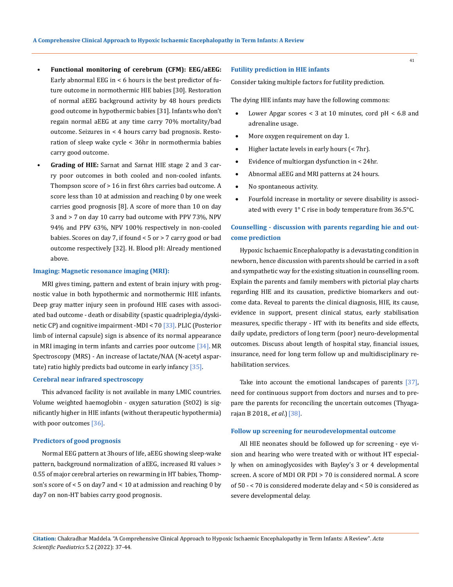- **Functional monitoring of cerebrum (CFM): EEG/aEEG:** Early abnormal EEG in  $<$  6 hours is the best predictor of future outcome in normothermic HIE babies [30]. Restoration of normal aEEG background activity by 48 hours predicts good outcome in hypothermic babies [31]. Infants who don't regain normal aEEG at any time carry 70% mortality/bad outcome. Seizures in < 4 hours carry bad prognosis. Restoration of sleep wake cycle < 36hr in normothermia babies carry good outcome.
- **Grading of HIE:** Sarnat and Sarnat HIE stage 2 and 3 carry poor outcomes in both cooled and non-cooled infants. Thompson score of > 16 in first 6hrs carries bad outcome. A score less than 10 at admission and reaching 0 by one week carries good prognosis [8]. A score of more than 10 on day 3 and > 7 on day 10 carry bad outcome with PPV 73%, NPV 94% and PPV 63%, NPV 100% respectively in non-cooled babies. Scores on day 7, if found < 5 or > 7 carry good or bad outcome respectively [32]. H. Blood pH: Already mentioned above.

#### **Imaging: Magnetic resonance imaging (MRI):**

MRI gives timing, pattern and extent of brain injury with prognostic value in both hypothermic and normothermic HIE infants. Deep gray matter injury seen in profound HIE cases with associated bad outcome - death or disability (spastic quadriplegia/dyskinetic CP) and cognitive impairment -MDI < 70 [33]. PLIC (Posterior limb of internal capsule) sign is absence of its normal appearance in MRI imaging in term infants and carries poor outcome  $[34]$ . MR Spectroscopy (MRS) - An increase of lactate/NAA (N-acetyl aspartate) ratio highly predicts bad outcome in early infancy [35].

#### **Cerebral near infrared spectroscopy**

This advanced facility is not available in many LMIC countries. Volume weighted haemoglobin - oxygen saturation (StO2) is significantly higher in HIE infants (without therapeutic hypothermia) with poor outcomes [36].

#### **Predictors of good prognosis**

Normal EEG pattern at 3hours of life, aEEG showing sleep-wake pattern, background normalization of aEEG, increased RI values > 0.55 of major cerebral arteries on rewarming in HT babies, Thompson's score of < 5 on day7 and < 10 at admission and reaching 0 by day7 on non-HT babies carry good prognosis.

#### **Futility prediction in HIE infants**

Consider taking multiple factors for futility prediction.

The dying HIE infants may have the following commons:

- Lower Apgar scores  $<$  3 at 10 minutes, cord pH  $<$  6.8 and adrenaline usage.
- More oxygen requirement on day 1.
- Higher lactate levels in early hours (< 7hr).
- Evidence of multiorgan dysfunction in  $<$  24hr.
- Abnormal aEEG and MRI patterns at 24 hours.
- • No spontaneous activity.
- Fourfold increase in mortality or severe disability is associated with every 1° C rise in body temperature from 36.5°C.

# **Counselling - discussion with parents regarding hie and outcome prediction**

Hypoxic Ischaemic Encephalopathy is a devastating condition in newborn, hence discussion with parents should be carried in a soft and sympathetic way for the existing situation in counselling room. Explain the parents and family members with pictorial play charts regarding HIE and its causation, predictive biomarkers and outcome data. Reveal to parents the clinical diagnosis, HIE, its cause, evidence in support, present clinical status, early stabilisation measures, specific therapy - HT with its benefits and side effects, daily update, predictors of long term (poor) neuro-developmental outcomes. Discuss about length of hospital stay, financial issues, insurance, need for long term follow up and multidisciplinary rehabilitation services.

Take into account the emotional landscapes of parents [37], need for continuous support from doctors and nurses and to prepare the parents for reconciling the uncertain outcomes (Thyagarajan B 2018., *et al*.)[38].

#### **Follow up screening for neurodevelopmental outcome**

All HIE neonates should be followed up for screening - eye vision and hearing who were treated with or without HT especially when on aminoglycosides with Bayley's 3 or 4 developmental screen. A score of MDI OR PDI > 70 is considered normal. A score of 50 - < 70 is considered moderate delay and < 50 is considered as severe developmental delay.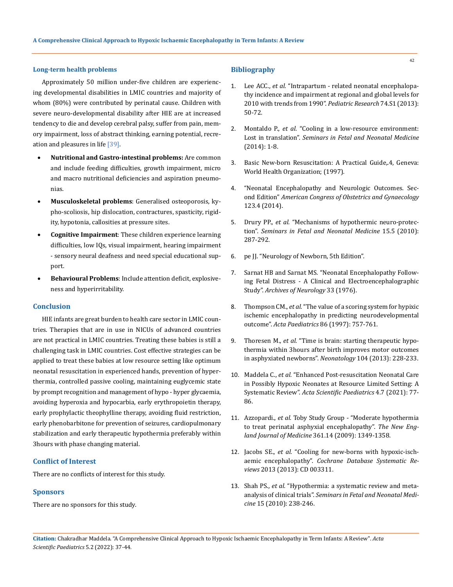#### **Long-term health problems**

Approximately 50 million under-five children are experiencing developmental disabilities in LMIC countries and majority of whom (80%) were contributed by perinatal cause. Children with severe neuro-developmental disability after HIE are at increased tendency to die and develop cerebral palsy, suffer from pain, memory impairment, loss of abstract thinking, earning potential, recreation and pleasures in life [39].

- • **Nutritional and Gastro-intestinal problems:** Are common and include feeding difficulties, growth impairment, micro and macro nutritional deficiencies and aspiration pneumonias.
- **Musculoskeletal problems**: Generalised osteoporosis, kypho-scoliosis, hip dislocation, contractures, spasticity, rigidity, hypotonia, callosities at pressure sites.
- **Cognitive Impairment**: These children experience learning difficulties, low IQs, visual impairment, hearing impairment - sensory neural deafness and need special educational support.
- **Behavioural Problems**: Include attention deficit, explosiveness and hyperirritability.

#### **Conclusion**

HIE infants are great burden to health care sector in LMIC countries. Therapies that are in use in NICUs of advanced countries are not practical in LMIC countries. Treating these babies is still a challenging task in LMIC countries. Cost effective strategies can be applied to treat these babies at low resource setting like optimum neonatal resuscitation in experienced hands, prevention of hyperthermia, controlled passive cooling, maintaining euglycemic state by prompt recognition and management of hypo - hyper glycaemia, avoiding hyperoxia and hypocarbia, early erythropoietin therapy, early prophylactic theophylline therapy, avoiding fluid restriction, early phenobarbitone for prevention of seizures, cardiopulmonary stabilization and early therapeutic hypothermia preferably within 3hours with phase changing material.

#### **Conflict of Interest**

There are no conflicts of interest for this study.

#### **Sponsors**

There are no sponsors for this study.

#### **Bibliography**

- 1. Lee ACC., *et al.* ["Intrapartum related neonatal encephalopa](https://pubmed.ncbi.nlm.nih.gov/24366463/)[thy incidence and impairment at regional and global levels for](https://pubmed.ncbi.nlm.nih.gov/24366463/)  [2010 with trends from 1990".](https://pubmed.ncbi.nlm.nih.gov/24366463/) *Pediatric Research* 74.S1 (2013): [50-72.](https://pubmed.ncbi.nlm.nih.gov/24366463/)
- 2. Montaldo P., *et al.* ["Cooling in a low-resource environment:](https://pubmed.ncbi.nlm.nih.gov/25457083/)  Lost in translation". *[Seminars in Fetal and Neonatal Medicine](https://pubmed.ncbi.nlm.nih.gov/25457083/)* [\(2014\): 1-8.](https://pubmed.ncbi.nlm.nih.gov/25457083/)
- 3. Basic New-born Resuscitation: A Practical Guide, 4, Geneva: [World Health Organization; \(1997\).](https://apps.who.int/iris/handle/10665/63953)
- 4. ["Neonatal Encephalopathy and Neurologic Outcomes. Sec](https://www.researchgate.net/publication/279016178_Neonatal_Encephalopathy_and_Neurologic_Outcome_Second_Edition)ond Edition" *[American Congress of Obstetrics and Gynaecology](https://www.researchgate.net/publication/279016178_Neonatal_Encephalopathy_and_Neurologic_Outcome_Second_Edition)*  [123.4 \(2014\).](https://www.researchgate.net/publication/279016178_Neonatal_Encephalopathy_and_Neurologic_Outcome_Second_Edition)
- 5. Drury PP., *et al.* ["Mechanisms of hypothermic neuro-protec](https://pubmed.ncbi.nlm.nih.gov/20646974/)tion". *[Seminars in Fetal and Neonatal](https://pubmed.ncbi.nlm.nih.gov/20646974/) Medicine* 15.5 (2010): [287-292.](https://pubmed.ncbi.nlm.nih.gov/20646974/)
- 6. [pe JJ. "Neurology of Newborn, 5th Edition".](https://www.sciencedirect.com/book/9781416039952/neurology-of-the-newborn)
- 7. [Sarnat HB and Sarnat MS. "Neonatal Encephalopathy Follow](https://pubmed.ncbi.nlm.nih.gov/987769/)[ing Fetal Distress - A Clinical and Electroencephalographic](https://pubmed.ncbi.nlm.nih.gov/987769/)  Study". *[Archives of Neurology](https://pubmed.ncbi.nlm.nih.gov/987769/)* 33 (1976).
- 8. Thompson CM., *et al.* ["The value of a scoring system for hypixic](https://pubmed.ncbi.nlm.nih.gov/9240886/)  [ischemic encephalopathy in predicting neurodevelopmental](https://pubmed.ncbi.nlm.nih.gov/9240886/)  outcome". *Acta Paediatrics* [86 \(1997\): 757-761.](https://pubmed.ncbi.nlm.nih.gov/9240886/)
- 9. Thoresen M., *et al.* ["Time is brain: starting therapeutic hypo](https://pubmed.ncbi.nlm.nih.gov/24030160/)[thermia within 3hours after birth improves motor outcomes](https://pubmed.ncbi.nlm.nih.gov/24030160/)  [in asphyxiated newborns".](https://pubmed.ncbi.nlm.nih.gov/24030160/) *Neonatology* 104 (2013): 228-233.
- 10. Maddela C., *et al.* ["Enhanced Post-resuscitation Neonatal Care](https://www.sciencegate.app/document/10.31080/aspe.2021.04.0428)  [in Possibly Hypoxic Neonates at Resource Limited Setting: A](https://www.sciencegate.app/document/10.31080/aspe.2021.04.0428)  Systematic Review". *[Acta Scientific Paediatrics](https://www.sciencegate.app/document/10.31080/aspe.2021.04.0428)* 4.7 (2021): 77- [86.](https://www.sciencegate.app/document/10.31080/aspe.2021.04.0428)
- 11. Azzopardi., *et al.* [Toby Study Group "Moderate hypothermia](https://pubmed.ncbi.nlm.nih.gov/19797281/)  [to treat perinatal asphyxial encephalopathy".](https://pubmed.ncbi.nlm.nih.gov/19797281/) *The New Eng[land Journal of Medicine](https://pubmed.ncbi.nlm.nih.gov/19797281/)* 361.14 (2009): 1349-1358.
- 12. Jacobs SE., *et al.* ["Cooling for new-borns with hypoxic-isch](https://pubmed.ncbi.nlm.nih.gov/23440789/)aemic encephalopathy". *[Cochrane Database Systematic Re](https://pubmed.ncbi.nlm.nih.gov/23440789/)views* [2013 \(2013\): CD 003311.](https://pubmed.ncbi.nlm.nih.gov/23440789/)
- 13. Shah PS., *et al.* ["Hypothermia: a systematic review and meta](https://pubmed.ncbi.nlm.nih.gov/20211588/)analysis of clinical trials". *[Seminars in Fetal and Neonatal Medi](https://pubmed.ncbi.nlm.nih.gov/20211588/)cine* [15 \(2010\): 238-246.](https://pubmed.ncbi.nlm.nih.gov/20211588/)

**Citation:** Chakradhar Maddela*.* "A Comprehensive Clinical Approach to Hypoxic Ischaemic Encephalopathy in Term Infants: A Review". *Acta Scientific Paediatrics* 5.2 (2022): 37-44.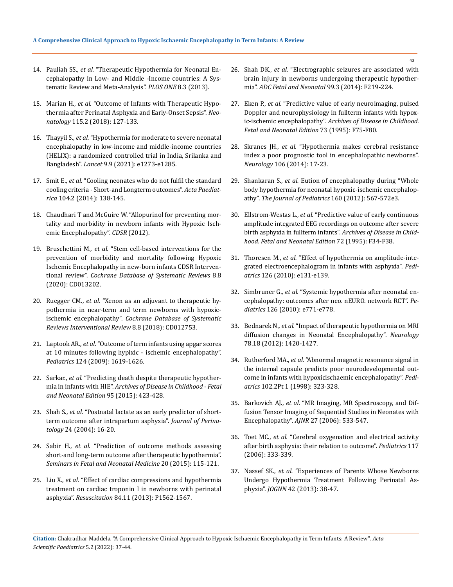- 14. Pauliah SS., *et al.* ["Therapeutic Hypothermia for Neonatal En](https://www.researchgate.net/publication/315888884_Therapeutic_Hypothermia_for_Neonates_with_Hypoxic_Ischemic_Encephalopathy)[cephalopathy in Low- and Middle -Income countries: A Sys](https://www.researchgate.net/publication/315888884_Therapeutic_Hypothermia_for_Neonates_with_Hypoxic_Ischemic_Encephalopathy)[tematic Review and Meta-Analysis".](https://www.researchgate.net/publication/315888884_Therapeutic_Hypothermia_for_Neonates_with_Hypoxic_Ischemic_Encephalopathy) *PLOS ONE* 8.3 (2013).
- 15. Marian H., *et al.* ["Outcome of Infants with Therapeutic Hypo](https://pubmed.ncbi.nlm.nih.gov/30419568/)[thermia after Perinatal Asphyxia and Early-Onset Sepsis".](https://pubmed.ncbi.nlm.nih.gov/30419568/) *Neonatology* [115.2 \(2018\): 127-133.](https://pubmed.ncbi.nlm.nih.gov/30419568/)
- 16. Thayyil S., *et al.* ["Hypothermia for moderate to severe neonatal](https://www.thelancet.com/journals/langlo/article/PIIS2214-109X(21)00264-3/fulltext)  [encephalopathy in low-income and middle-income countries](https://www.thelancet.com/journals/langlo/article/PIIS2214-109X(21)00264-3/fulltext)  [\(HELIX\): a randomized controlled trial in India, Srilanka and](https://www.thelancet.com/journals/langlo/article/PIIS2214-109X(21)00264-3/fulltext)  Bangladesh". *Lancet* [9.9 \(2021\): e1273-e1285.](https://www.thelancet.com/journals/langlo/article/PIIS2214-109X(21)00264-3/fulltext)
- 17. Smit E., *et al.* ["Cooling neonates who do not fulfil the standard](https://pubmed.ncbi.nlm.nih.gov/25164710/)  [cooling criteria - Short-and Longterm outcomes".](https://pubmed.ncbi.nlm.nih.gov/25164710/) *Acta Paediatrica* [104.2 \(2014\): 138-145.](https://pubmed.ncbi.nlm.nih.gov/25164710/)
- 18. [Chaudhari T and McGuire W. "Allopurinol for preventing mor](https://pubmed.ncbi.nlm.nih.gov/22786499/)[tality and morbidity in newborn infants with Hypoxic Isch](https://pubmed.ncbi.nlm.nih.gov/22786499/)[emic Encephalopathy".](https://pubmed.ncbi.nlm.nih.gov/22786499/) *CDSR* (2012).
- 19. Bruschettini M., *et al.* ["Stem cell-based interventions for the](https://pubmed.ncbi.nlm.nih.gov/32813884/)  [prevention of morbidity and mortality following Hypoxic](https://pubmed.ncbi.nlm.nih.gov/32813884/)  [Ischemic Encephalopathy in new-born infants CDSR Interven](https://pubmed.ncbi.nlm.nih.gov/32813884/)tional review". *[Cochrane Database of Systematic Reviews](https://pubmed.ncbi.nlm.nih.gov/32813884/)* 8.8 [\(2020\): CD013202.](https://pubmed.ncbi.nlm.nih.gov/32813884/)
- 20. Ruegger CM., *et al.* ["Xenon as an adjuvant to therapeutic hy](https://pubmed.ncbi.nlm.nih.gov/30123976/)[pothermia in near-term and term newborns with hypoxic](https://pubmed.ncbi.nlm.nih.gov/30123976/)ischemic encephalopathy". *[Cochrane Database of Systematic](https://pubmed.ncbi.nlm.nih.gov/30123976/)  [Reviews Interventional Review](https://pubmed.ncbi.nlm.nih.gov/30123976/)* 8.8 (2018): CD012753.
- 21. Laptook AR., *et al.* ["Outcome of term infants using apgar scores](https://pubmed.ncbi.nlm.nih.gov/19948631/)  [at 10 minutes following hypixic - ischemic encephalopathy".](https://pubmed.ncbi.nlm.nih.gov/19948631/)  *Pediatrics* [124 \(2009\): 1619-1626.](https://pubmed.ncbi.nlm.nih.gov/19948631/)
- 22. Sarkar., *et al.* ["Predicting death despite therapeutic hypother](https://pubmed.ncbi.nlm.nih.gov/20551188/)mia in infants with HIE". *[Archives of Disease in Childhood - Fetal](https://pubmed.ncbi.nlm.nih.gov/20551188/)  [and Neonatal Edition](https://pubmed.ncbi.nlm.nih.gov/20551188/)* 95 (2015): 423-428.
- 23. Shah S., *et al.* ["Postnatal lactate as an early predictor of short](https://pubmed.ncbi.nlm.nih.gov/14726932/)[term outcome after intrapartum asphyxia".](https://pubmed.ncbi.nlm.nih.gov/14726932/) *Journal of Perinatology* [24 \(2004\): 16-20.](https://pubmed.ncbi.nlm.nih.gov/14726932/)
- 24. Sabir H., *et al.* ["Prediction of outcome methods assessing](https://pubmed.ncbi.nlm.nih.gov/25457081/)  [short-and long-term outcome after therapeutic hypothermia".](https://pubmed.ncbi.nlm.nih.gov/25457081/)  *[Seminars in Fetal and Neonatal Medicine](https://pubmed.ncbi.nlm.nih.gov/25457081/)* 20 (2015): 115-121.
- 25. Liu X., *et al.* ["Effect of cardiac compressions and hypothermia](https://pubmed.ncbi.nlm.nih.gov/23856603/)  [treatment on cardiac troponin I in newborns with perinatal](https://pubmed.ncbi.nlm.nih.gov/23856603/)  asphyxia". *Resuscitation* [84.11 \(2013\): P1562-1567.](https://pubmed.ncbi.nlm.nih.gov/23856603/)
- 26. Shah DK., *et al.* ["Electrographic seizures are associated with](https://pubmed.ncbi.nlm.nih.gov/24443407/)  [brain injury in newborns undergoing therapeutic hypother](https://pubmed.ncbi.nlm.nih.gov/24443407/)mia". *[ADC Fetal and Neonatal](https://pubmed.ncbi.nlm.nih.gov/24443407/)* 99.3 (2014): F219-224.
- 27. Eken P., *et al.* ["Predictive value of early neuroimaging, pulsed](https://pubmed.ncbi.nlm.nih.gov/7583610/)  [Doppler and neurophysiology in fullterm infants with hypox](https://pubmed.ncbi.nlm.nih.gov/7583610/)ic-ischemic encephalopathy". *[Archives of Disease in Childhood.](https://pubmed.ncbi.nlm.nih.gov/7583610/)  [Fetal and Neonatal Edition](https://pubmed.ncbi.nlm.nih.gov/7583610/)* 73 (1995): F75-F80.
- 28. Skranes JH., *et al.* ["Hypothermia makes cerebral resistance](https://pubmed.ncbi.nlm.nih.gov/24686318/)  [index a poor prognostic tool in encephalopathic newborns".](https://pubmed.ncbi.nlm.nih.gov/24686318/)  *Neurology* [106 \(2014\): 17-23.](https://pubmed.ncbi.nlm.nih.gov/24686318/)
- 29. Shankaran S., *et al.* [Eution of encephalopathy during "Whole](file:///E:/ANUSHA/Acta/FEBRUARY/ASPE/ASPE-22-RW-001/Eution%20of%20encephalopathy%20during%20whole%20body%20hypothermia%20for%20neonatal%20hypoxic-ischemic%20encephalopathy”.)  [body hypothermia for neonatal hypoxic-ischemic encephalop](file:///E:/ANUSHA/Acta/FEBRUARY/ASPE/ASPE-22-RW-001/Eution%20of%20encephalopathy%20during%20whole%20body%20hypothermia%20for%20neonatal%20hypoxic-ischemic%20encephalopathy”.)athy". *[The Journal of Pediatrics](file:///E:/ANUSHA/Acta/FEBRUARY/ASPE/ASPE-22-RW-001/Eution%20of%20encephalopathy%20during%20whole%20body%20hypothermia%20for%20neonatal%20hypoxic-ischemic%20encephalopathy”.)* 160 (2012): 567-572e3.
- 30. Ellstrom-Westas L., *et al.* ["Predictive value of early continuous](https://pubmed.ncbi.nlm.nih.gov/7743282/)  [amplitude integrated EEG recordings on outcome after severe](https://pubmed.ncbi.nlm.nih.gov/7743282/)  [birth asphyxia in fullterm infants".](https://pubmed.ncbi.nlm.nih.gov/7743282/) *Archives of Disease in Child[hood. Fetal and Neonatal Edition](https://pubmed.ncbi.nlm.nih.gov/7743282/)* 72 (1995): F34-F38.
- 31. Thoresen M., *et al.* ["Effect of hypothermia on amplitude-inte](https://pubmed.ncbi.nlm.nih.gov/20566612/)[grated electroencephalogram in infants with asphyxia".](https://pubmed.ncbi.nlm.nih.gov/20566612/) *Pediatrics* [126 \(2010\): e131-e139.](https://pubmed.ncbi.nlm.nih.gov/20566612/)
- 32. Simbruner G., *et al.* ["Systemic hypothermia after neonatal en](https://pubmed.ncbi.nlm.nih.gov/20855387/)[cephalopathy: outcomes after neo. nEURO. network RCT".](https://pubmed.ncbi.nlm.nih.gov/20855387/) *Pediatrics* [126 \(2010\): e771-e778.](https://pubmed.ncbi.nlm.nih.gov/20855387/)
- 33. Bednarek N., *et al.* ["Impact of therapeutic hypothermia on MRI](https://www.ncbi.nlm.nih.gov/pmc/articles/PMC3345786/)  [diffusion changes in Neonatal Encephalopathy".](https://www.ncbi.nlm.nih.gov/pmc/articles/PMC3345786/) *Neurology* [78.18 \(2012\): 1420-1427.](https://www.ncbi.nlm.nih.gov/pmc/articles/PMC3345786/)
- 34. Rutherford MA., *et al.* ["Abnormal magnetic resonance signal in](https://pubmed.ncbi.nlm.nih.gov/9685433/)  [the internal capsule predicts poor neurodevelopmental out](https://pubmed.ncbi.nlm.nih.gov/9685433/)[come in infants with hypoxicischaemic encephalopathy".](https://pubmed.ncbi.nlm.nih.gov/9685433/) *Pediatrics* [102.2Pt 1 \(1998\): 323-328.](https://pubmed.ncbi.nlm.nih.gov/9685433/)
- 35. Barkovich AJ., *et al.* ["MR Imaging, MR Spectroscopy, and Dif](https://pubmed.ncbi.nlm.nih.gov/16551990/)[fusion Tensor Imaging of Sequential Studies in Neonates with](https://pubmed.ncbi.nlm.nih.gov/16551990/)  Encephalopathy". *AJNR* [27 \(2006\): 533-547.](https://pubmed.ncbi.nlm.nih.gov/16551990/)
- 36. Toet MC., *et al.* ["Cerebral oxygenation and electrical activity](https://pubmed.ncbi.nlm.nih.gov/16452351/)  [after birth asphyxia: their relation to outcome".](https://pubmed.ncbi.nlm.nih.gov/16452351/) *Pediatrics* 117 [\(2006\): 333-339.](https://pubmed.ncbi.nlm.nih.gov/16452351/)
- 37. Nassef SK., *et al.* ["Experiences of Parents Whose Newborns](https://pubmed.ncbi.nlm.nih.gov/23167672/)  [Undergo Hypothermia Treatment Following Perinatal As](https://pubmed.ncbi.nlm.nih.gov/23167672/)phyxia". *JOGNN* [42 \(2013\): 38-47.](https://pubmed.ncbi.nlm.nih.gov/23167672/)